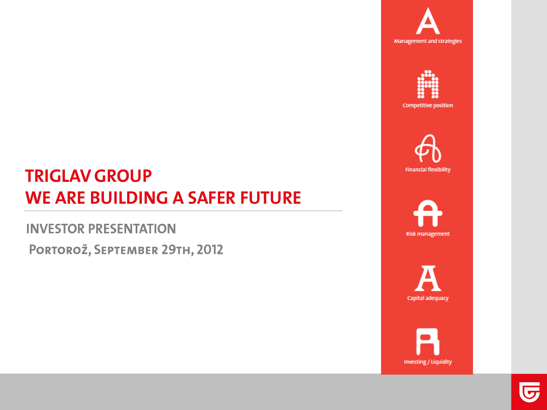



**Competitive position** 



# **Risk management**

Capital adequacy



# **TRIGLAV GROUP WE ARE BUILDING A SAFER FUTURE**

**INVESTOR PRESENTATION** PORTOROŽ, SEPTEMBER 29TH, 2012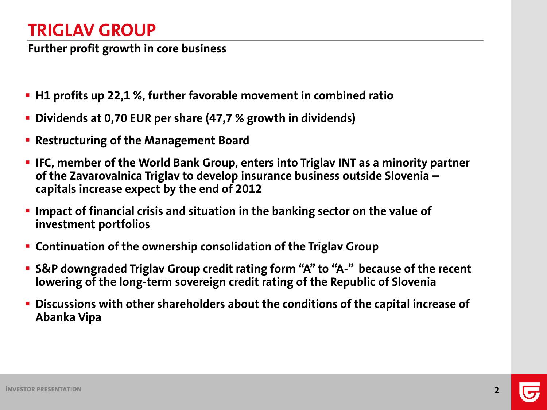## **TRIGLAV GROUP**

**Further profit growth in core business**

- **H1 profits up 22,1 %, further favorable movement in combined ratio**
- **Dividends at 0,70 EUR per share (47,7 % growth in dividends)**
- **Restructuring of the Management Board**
- **IFC, member of the World Bank Group, enters into Triglav INT as a minority partner of the Zavarovalnica Triglav to develop insurance business outside Slovenia – capitals increase expect by the end of 2012**
- **IMPACT OF financial crisis and situation in the banking sector on the value of investment portfolios**
- **Continuation of the ownership consolidation of the Triglav Group**
- **S&P downgraded Triglav Group credit rating form "A" to "A-" because of the recent lowering of the long-term sovereign credit rating of the Republic of Slovenia**
- **Discussions with other shareholders about the conditions of the capital increase of Abanka Vipa**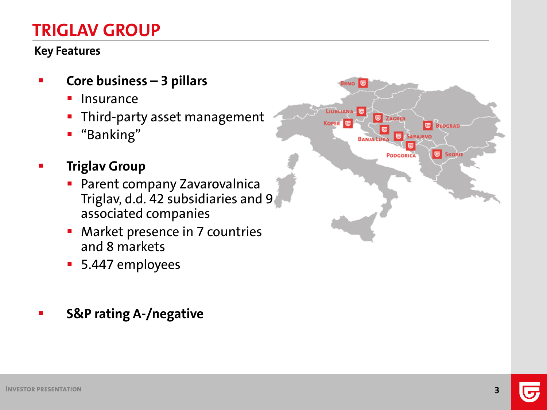## **TRIGLAV GROUP**

#### **Key Features**

- **Core business – 3 pillars**
	- **Insurance**
	- **Third-party asset management**
	- "Banking"
- **Triglav Group**
	- **Parent company Zavarovalnica** Triglav, d.d. 42 subsidiaries and 9 associated companies
	- **Market presence in 7 countries** and 8 markets
	- 5.447 employees

#### **S&P rating A-/negative**

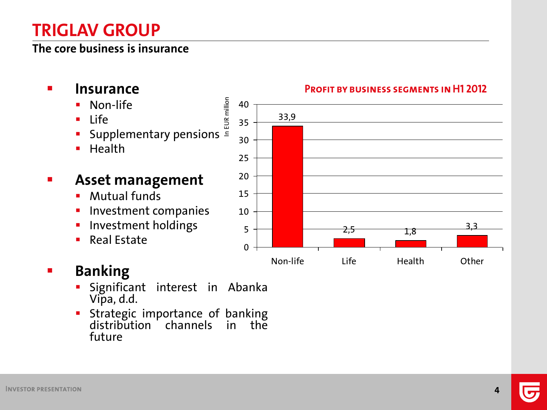## **TRIGLAV GROUP**

#### **The core business is insurance**

- **Insurance**
	- Non-life
	- $Life$
	- **EUR** million Supplementary pensions  $\bar{z}$
	- $H$  Health

#### **Asset management**

- **Mutual funds**
- Investment companies
- **Investment holdings**
- Real Estate

## **Banking**

- Significant interest in Abanka Vipa, d . d .
- **Strategic importance of banking** distribution channels in the fut ure

#### **PROFIT BY BUSINESS SEGMENTS IN H1 2012**

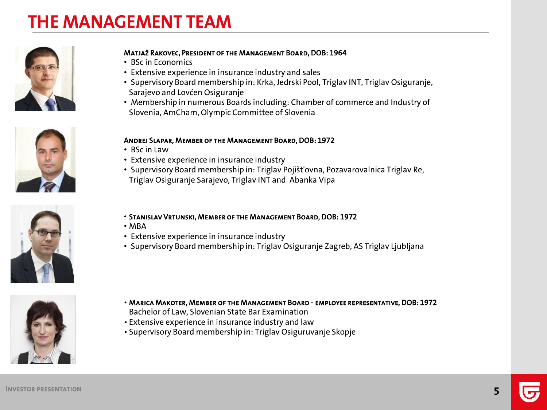## **THE MANAGEMENT TEAM**







#### Matjaž Rakovec, President of the Management Board, DOB: 1964

- BSc in Economics
- Extensive experience in insurance industry and sales
- Supervisory Board membership in: Krka, Jedrski Pool, Triglav INT, Triglav Osiguranje, Sarajevo and Lovćen Osiguranje
- Membership in numerous Boards including: Chamber of commerce and Industry of Slovenia, AmCham, Olympic Committee of Slovenia

#### Andrej Slapar, Member of the Management Board, DOB: 1972

- BSc in Law
- Extensive experience in insurance industry
- Supervisory Board membership in: Triglav Pojišt'ovna, Pozavarovalnica Triglav Re, Triglav Osiguranje Sarajevo, Triglav INT and Abanka Vipa
- Stanislav Vrtunski, Member of the Management Board, DOB: 1972
- MBA
- Extensive experience in insurance industry
- Supervisory Board membership in: Triglav Osiguranje Zagreb, AS Triglav Ljubljana



- Marica Makoter, Member of the Management Board employee representative, DOB: 1972 Bachelor of Law, Slovenian State Bar Examination
- Extensive experience in insurance industry and law
- Supervisory Board membership in: Triglav Osiguruvanje Skopje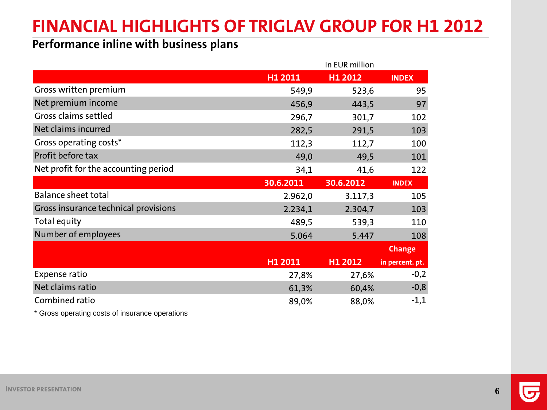# **FINANCIAL HIGHLIGHTS OF TRIGLAV GROUP FOR H1 2012**

#### **Performance inline with business plans**

|                                      | In EUR million |               |                 |  |
|--------------------------------------|----------------|---------------|-----------------|--|
|                                      | H1 2011        | H1 2012       | <b>INDEX</b>    |  |
| Gross written premium                | 549,9          | 523,6         | 95              |  |
| Net premium income                   | 456,9          | 443,5         | 97              |  |
| Gross claims settled                 | 296,7          | 301,7         | 102             |  |
| Net claims incurred                  | 282,5          | 291,5         | 103             |  |
| Gross operating costs*               | 112,3          | 112,7         | 100             |  |
| Profit before tax                    | 49,0           | 49,5          | 101             |  |
| Net profit for the accounting period | 34,1           | 41,6          | 122             |  |
|                                      | 30.6.2011      | 30.6.2012     | <b>INDEX</b>    |  |
| <b>Balance sheet total</b>           | 2.962,0        | 3.117,3       | 105             |  |
| Gross insurance technical provisions | 2.234,1        | 2.304,7       | 103             |  |
| Total equity                         | 489,5          | 539,3         | 110             |  |
| Number of employees                  | 5.064          | 5.447         | 108             |  |
|                                      |                | <b>Change</b> |                 |  |
|                                      | H1 2011        | H1 2012       | in percent. pt. |  |
| Expense ratio                        | 27,8%          | 27,6%         | $-0,2$          |  |
| Net claims ratio                     | 61,3%          | 60,4%         | $-0,8$          |  |
| Combined ratio                       | 89,0%          | 88,0%         | $-1,1$          |  |

\* Gross operating costs of insurance operations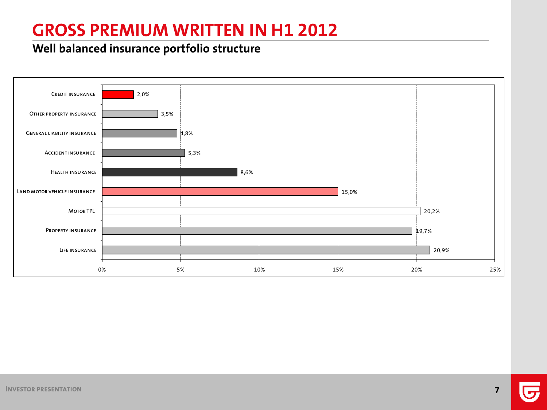## **GROSS PREMIUM WRITTEN IN H1 2012**

#### **Well balanced insurance portfolio structure**

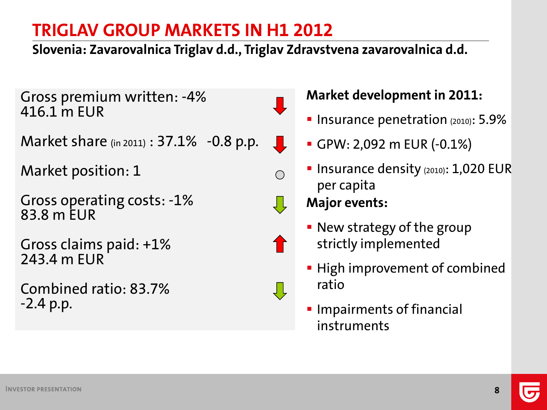**Slovenia: Zavarovalnica Triglav d.d., Triglav Zdravstvena zavarovalnica d.d.**

 $\overline{\mathbf{u}}$ 

 $\bigcirc$ 

1

Gross premium written: -4% 416.1 m EUR

Market share (in 2011) : 37.1% -0.8 p.p.

Market position: 1

Gross operating costs: -1% 83.8 m EUR

Gross claims paid: +1% 243.4 m EUR

Combined ratio: 83.7% -2.4 p.p.

## **Market development in 2011:**

- **Insurance penetration (2010): 5.9%**
- GPW: 2,092 m EUR (-0.1%)
- **Insurance density (2010): 1,020 EUR** per capita

- New strategy of the group strictly implemented
- **High improvement of combined** ratio
- **Impairments of financial** instruments

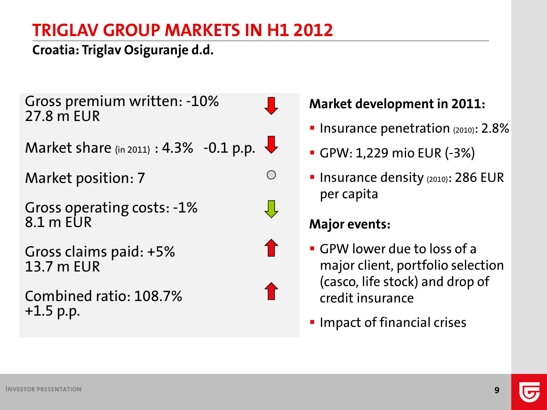### **Croatia: Triglav Osiguranje d.d.**

Gross premium written: -10% 27.8 m EUR

Market share (in 2011) : 4.3% -0.1 p.p.

Market position: 7

Gross operating costs: -1% 8.1 m EUR

Gross claims paid: +5% 13.7 m EUR

Combined ratio: 108.7% +1.5 p.p.

#### **Market development in 2011:**

- **Insurance penetration (2010): 2.8%**
- GPW: 1,229 mio EUR (-3%)
- **Insurance density (2010): 286 EUR** per capita

#### **Major events:**

 $\bigcirc$ 

- GPW lower due to loss of a major client, portfolio selection (casco, life stock) and drop of credit insurance
- **Impact of financial crises**

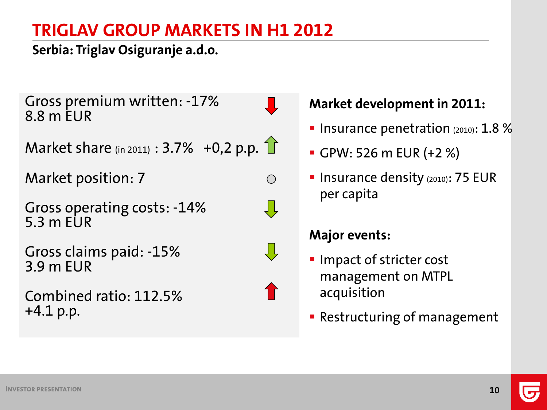### **Serbia: Triglav Osiguranje a.d.o.**

Gross premium written: -17% 8.8 m EUR

 $\bigcirc$ 

Market share (in 2011) :  $3.7% +0.2$  p.p.  $\boxed{\phantom{1}}$ 

Market position: 7

Gross operating costs: -14% 5.3 m  $FUR$ 

Gross claims paid: -15% 3.9 m EUR

Combined ratio: 112.5% +4.1 p.p.

#### **Market development in 2011:**

- **Insurance penetration**  $(2010)$ : 1.8 %
- GPW: 526 m EUR (+2 %)
- **Insurance density (2010): 75 EUR** per capita

- **Impact of stricter cost** management on MTPL acquisition
- **Restructuring of management**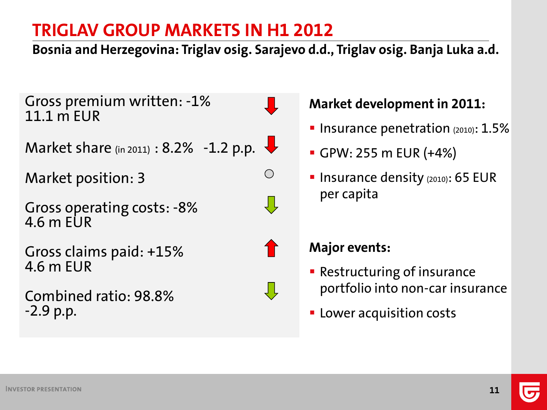**Bosnia and Herzegovina: Triglav osig. Sarajevo d.d., Triglav osig. Banja Luka a.d.**

 $\bigcirc$ 

J Ļ

Gross premium written: -1% 11.1 m EUR

Market share (in 2011) : 8.2% -1.2 p.p.

Market position: 3

Gross operating costs: -8% 4.6 m EUR

Gross claims paid: +15% 4.6 m EUR

Combined ratio: 98.8% -2.9 p.p.

#### **Market development in 2011:**

- **Insurance penetration**  $(2010)$ :  $1.5\%$
- GPW: 255 m EUR (+4%)
- **Insurance density**  $(2010)$ **: 65 EUR** per capita

- **Restructuring of insurance** portfolio into non-car insurance
- **EXEC** Lower acquisition costs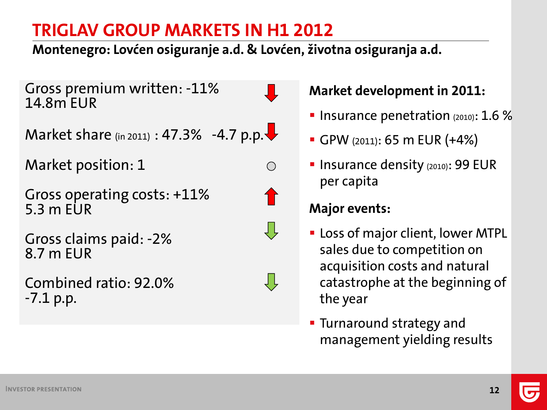**Montenegro: Lovćen osiguranje a.d. & Lovćen, životna osiguranja a.d.**

Gross premium written: -11% 14.8m EUR

Market share (in 2011) : 47.3% -4.7 p.p. $\blacktriangleright$ 

Market position: 1

Gross operating costs: +11% 5.3 m EUR

Gross claims paid: -2% 8.7 m EUR

Combined ratio: 92.0% -7.1 p.p.



 $\bigcirc$ 





**Market development in 2011:**

- **Insurance penetration** (2010):  $1.6\%$
- GPW (2011): 65 m EUR (+4%)
- **Insurance density (2010): 99 EUR** per capita

- **-** Loss of major client, lower MTPL sales due to competition on acquisition costs and natural catastrophe at the beginning of the year
- **Turnaround strategy and** management yielding results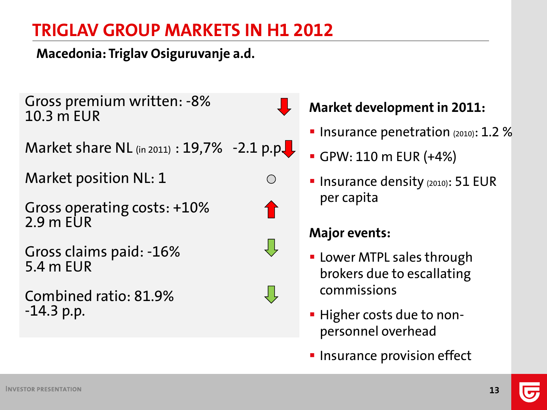**Macedonia: Triglav Osiguruvanje a.d.**

Gross premium written: -8% 10.3 m EUR

Market share NL  $_{(in 2011)}$  : 19,7% -2.1 p.p.

Market position NL: 1

Gross operating costs: +10%  $2.9$  m FUR

Gross claims paid: -16% 5.4 m EUR

Combined ratio: 81.9% -14.3 p.p.

## **Market development in 2011:**

- **Insurance penetration (2010): 1.2 %**
- GPW: 110 m EUR (+4%)
- **Insurance density (2010): 51 EUR** per capita

## **Major events:**

 $\bigcirc$ 

Ų,

- **Lower MTPL sales through** brokers due to escallating commissions
- **Higher costs due to non**personnel overhead
- **Insurance provision effect**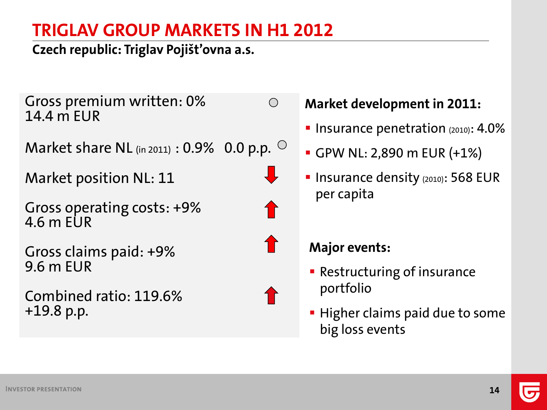$\bigcirc$ 

**Czech republic: Triglav Pojišt'ovna a.s.**

Gross premium written: 0% 14.4 m EUR

Market share NL (in 2011) :  $0.9\%$  0.0 p.p.  $\circ$ 

Market position NL: 11

Gross operating costs: +9% 4.6 m EUR

Gross claims paid: +9% 9.6 m EUR

Combined ratio: 119.6% +19.8 p.p.

**Market development in 2011:**

- **Insurance penetration**  $(2010)$ :  $4.0\%$
- GPW NL: 2,890 m EUR (+1%)
- **Insurance density (2010): 568 EUR** per capita

- **Restructuring of insurance** portfolio
- **Higher claims paid due to some** big loss events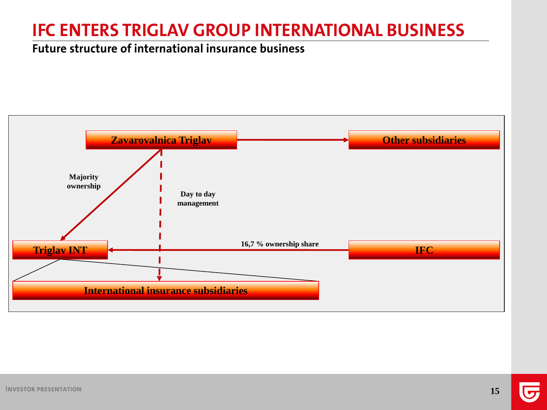## **IFC ENTERS TRIGLAV GROUP INTERNATIONAL BUSINESS**

#### **Future structure of international insurance business**

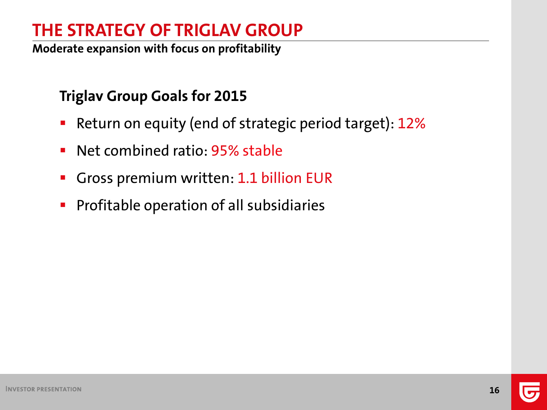## **THE STRATEGY OF TRIGLAV GROUP**

**Moderate expansion with focus on profitability**

## **Triglav Group Goals for 2015**

- **Return on equity (end of strategic period target): 12%**
- **Net combined ratio: 95% stable**
- Gross premium written: 1.1 billion EUR
- **Profitable operation of all subsidiaries**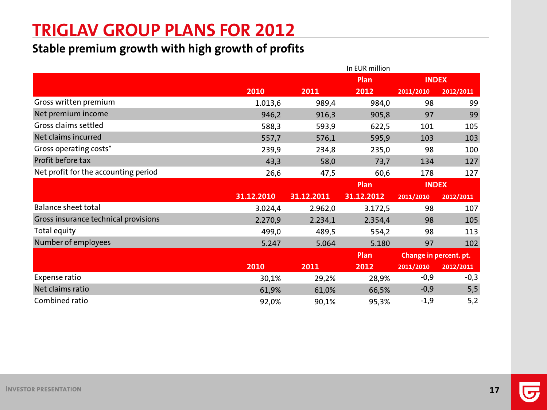## **TRIGLAV GROUP PLANS FOR 2012**

#### **Stable premium growth with high growth of profits**

|                                      |            |            | In EUR million |                        |           |
|--------------------------------------|------------|------------|----------------|------------------------|-----------|
|                                      |            |            | Plan           | <b>INDEX</b>           |           |
|                                      | 2010       | 2011       | 2012           | 2011/2010              | 2012/2011 |
| Gross written premium                | 1.013,6    | 989,4      | 984,0          | 98                     | 99        |
| Net premium income                   | 946,2      | 916,3      | 905,8          | 97                     | 99        |
| Gross claims settled                 | 588,3      | 593,9      | 622,5          | 101                    | 105       |
| Net claims incurred                  | 557,7      | 576,1      | 595,9          | 103                    | 103       |
| Gross operating costs*               | 239,9      | 234,8      | 235,0          | 98                     | 100       |
| Profit before tax                    | 43,3       | 58,0       | 73,7           | 134                    | 127       |
| Net profit for the accounting period | 26,6       | 47,5       | 60,6           | 178                    | 127       |
|                                      |            |            | Plan           | <b>INDEX</b>           |           |
|                                      | 31.12.2010 | 31.12.2011 | 31.12.2012     | 2011/2010              | 2012/2011 |
| <b>Balance sheet total</b>           | 3.024,4    | 2.962,0    | 3.172,5        | 98                     | 107       |
| Gross insurance technical provisions | 2.270,9    | 2.234,1    | 2.354,4        | 98                     | 105       |
| Total equity                         | 499,0      | 489,5      | 554,2          | 98                     | 113       |
| Number of employees                  | 5.247      | 5.064      | 5.180          | 97                     | 102       |
|                                      |            |            | <b>Plan</b>    | Change in percent. pt. |           |
|                                      | 2010       | 2011       | 2012           | 2011/2010              | 2012/2011 |
| Expense ratio                        |            | 29,2%      | 28,9%          | $-0,9$                 | $-0,3$    |
|                                      | 30,1%      |            |                |                        |           |
| Net claims ratio                     | 61,9%      | 61,0%      | 66,5%          | $-0,9$                 | 5,5       |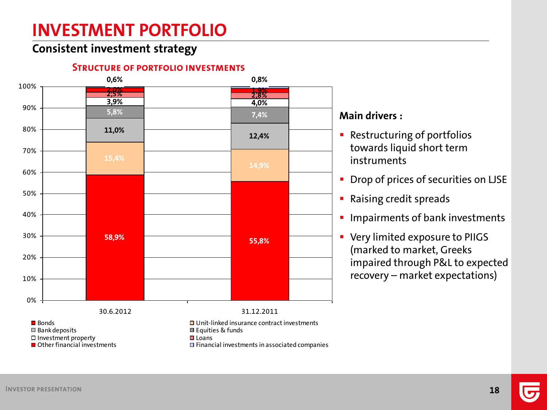## **INVESTMENT PORTFOLIO**

#### **Consistent investment strategy**

#### **STRUCTURE OF PORTFOLIO INVESTMENTS**

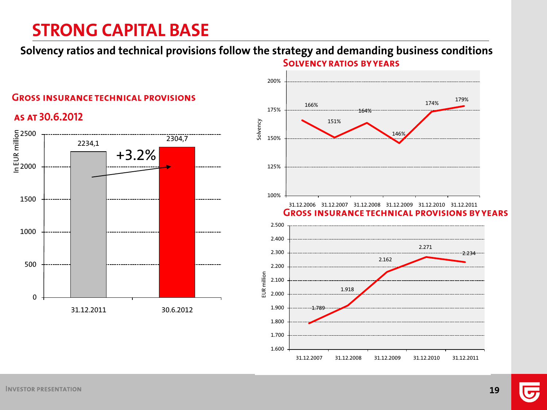## **STRONG CAPITAL BASE**

**Solvency ratios and technical provisions follow the strategy and demanding business conditions SOLVENCY RATIOS BY YEARS** 





31.12.2007 31.12.2008 31.12.2009 31.12.2010 31.12.2011

174% 179%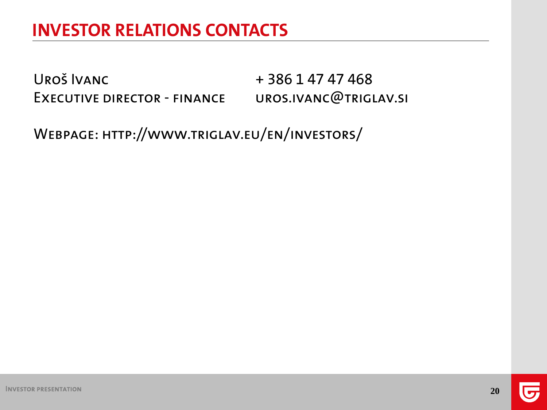## **INVESTOR RELATIONS CONTACTS**

UROŠ IVANC + 386 1 47 47 468 Executive director - finance uros.ivanc@triglav.si

Webpage: http://www.triglav.eu/en/investors/